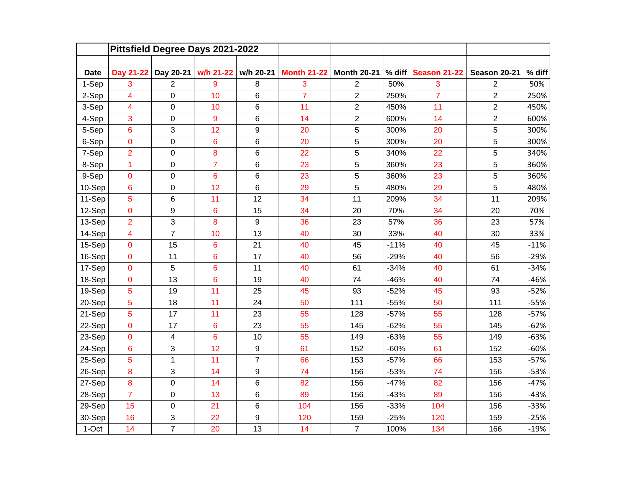|             | Pittsfield Degree Days 2021-2022 |                  |                 |                  |                    |                    |          |                     |                |        |
|-------------|----------------------------------|------------------|-----------------|------------------|--------------------|--------------------|----------|---------------------|----------------|--------|
|             |                                  |                  |                 |                  |                    |                    |          |                     |                |        |
| <b>Date</b> | Day 21-22                        | Day 20-21        | w/h 21-22       | w/h 20-21        | <b>Month 21-22</b> | <b>Month 20-21</b> | $%$ diff | <b>Season 21-22</b> | Season 20-21   | % diff |
| 1-Sep       | 3                                | $\overline{2}$   | 9               | 8                | 3                  | $\overline{2}$     | 50%      | 3                   | $\overline{2}$ | 50%    |
| 2-Sep       | 4                                | $\pmb{0}$        | 10              | 6                | $\overline{7}$     | $\overline{c}$     | 250%     | $\overline{7}$      | $\overline{c}$ | 250%   |
| 3-Sep       | 4                                | 0                | 10              | 6                | 11                 | $\overline{c}$     | 450%     | 11                  | $\overline{c}$ | 450%   |
| 4-Sep       | 3                                | 0                | 9               | $6\phantom{1}6$  | 14                 | $\overline{2}$     | 600%     | 14                  | $\overline{2}$ | 600%   |
| 5-Sep       | 6                                | 3                | 12              | 9                | 20                 | 5                  | 300%     | 20                  | 5              | 300%   |
| 6-Sep       | $\mathbf 0$                      | $\boldsymbol{0}$ | 6               | 6                | 20                 | 5                  | 300%     | 20                  | 5              | 300%   |
| 7-Sep       | $\overline{2}$                   | $\mathbf 0$      | 8               | $6\phantom{1}6$  | 22                 | 5                  | 340%     | 22                  | 5              | 340%   |
| 8-Sep       | 1                                | 0                | $\overline{7}$  | 6                | 23                 | 5                  | 360%     | 23                  | 5              | 360%   |
| 9-Sep       | $\pmb{0}$                        | 0                | 6               | 6                | 23                 | 5                  | 360%     | 23                  | 5              | 360%   |
| 10-Sep      | 6                                | $\mathbf 0$      | 12              | 6                | 29                 | 5                  | 480%     | 29                  | 5              | 480%   |
| 11-Sep      | 5                                | 6                | 11              | 12               | 34                 | 11                 | 209%     | 34                  | 11             | 209%   |
| 12-Sep      | 0                                | 9                | 6               | 15               | 34                 | 20                 | 70%      | 34                  | 20             | 70%    |
| 13-Sep      | $\overline{2}$                   | 3                | 8               | $\boldsymbol{9}$ | 36                 | 23                 | 57%      | 36                  | 23             | 57%    |
| 14-Sep      | 4                                | $\overline{7}$   | 10              | 13               | 40                 | 30                 | 33%      | 40                  | 30             | 33%    |
| 15-Sep      | $\mathbf 0$                      | 15               | $6\phantom{1}6$ | 21               | 40                 | 45                 | $-11%$   | 40                  | 45             | $-11%$ |
| 16-Sep      | 0                                | 11               | $6\phantom{1}6$ | 17               | 40                 | 56                 | $-29%$   | 40                  | 56             | $-29%$ |
| 17-Sep      | $\overline{0}$                   | 5                | $6\phantom{a}$  | 11               | 40                 | 61                 | $-34%$   | 40                  | 61             | $-34%$ |
| 18-Sep      | $\mathbf 0$                      | 13               | $6\phantom{a}$  | 19               | 40                 | 74                 | $-46%$   | 40                  | 74             | $-46%$ |
| 19-Sep      | 5                                | 19               | 11              | 25               | 45                 | 93                 | $-52%$   | 45                  | 93             | $-52%$ |
| 20-Sep      | 5                                | 18               | 11              | 24               | 50                 | 111                | $-55%$   | 50                  | 111            | $-55%$ |
| 21-Sep      | 5                                | 17               | 11              | 23               | 55                 | 128                | $-57%$   | 55                  | 128            | $-57%$ |
| 22-Sep      | $\mathbf 0$                      | 17               | $6\phantom{a}$  | 23               | 55                 | 145                | $-62%$   | 55                  | 145            | $-62%$ |
| 23-Sep      | $\mathbf 0$                      | 4                | $6\phantom{1}6$ | 10               | 55                 | 149                | $-63%$   | 55                  | 149            | $-63%$ |
| 24-Sep      | 6                                | 3                | 12              | 9                | 61                 | 152                | $-60%$   | 61                  | 152            | $-60%$ |
| 25-Sep      | 5                                | 1                | 11              | $\overline{7}$   | 66                 | 153                | $-57%$   | 66                  | 153            | $-57%$ |
| 26-Sep      | 8                                | 3                | 14              | 9                | 74                 | 156                | $-53%$   | 74                  | 156            | $-53%$ |
| 27-Sep      | 8                                | $\mathbf 0$      | 14              | 6                | 82                 | 156                | $-47%$   | 82                  | 156            | $-47%$ |
| 28-Sep      | $\overline{7}$                   | $\mathbf 0$      | 13              | 6                | 89                 | 156                | $-43%$   | 89                  | 156            | $-43%$ |
| 29-Sep      | 15                               | 0                | 21              | 6                | 104                | 156                | $-33%$   | 104                 | 156            | $-33%$ |
| 30-Sep      | 16                               | 3                | 22              | 9                | 120                | 159                | $-25%$   | 120                 | 159            | $-25%$ |
| 1-Oct       | 14                               | $\overline{7}$   | 20              | 13               | 14                 | $\overline{7}$     | 100%     | 134                 | 166            | $-19%$ |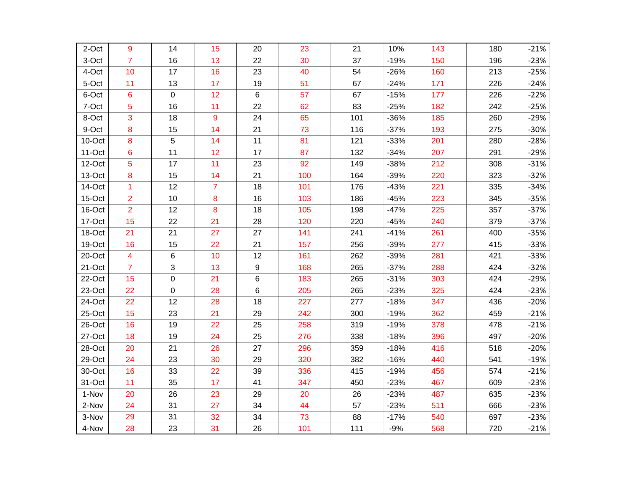| 2-Oct  | 9                       | 14        | 15             | 20 | 23  | 21  | 10%    | 143 | 180 | $-21%$ |
|--------|-------------------------|-----------|----------------|----|-----|-----|--------|-----|-----|--------|
| 3-Oct  | $\overline{7}$          | 16        | 13             | 22 | 30  | 37  | $-19%$ | 150 | 196 | $-23%$ |
| 4-Oct  | 10                      | 17        | 16             | 23 | 40  | 54  | $-26%$ | 160 | 213 | $-25%$ |
| 5-Oct  | 11                      | 13        | 17             | 19 | 51  | 67  | $-24%$ | 171 | 226 | $-24%$ |
| 6-Oct  | 6                       | $\pmb{0}$ | 12             | 6  | 57  | 67  | $-15%$ | 177 | 226 | $-22%$ |
| 7-Oct  | 5                       | 16        | 11             | 22 | 62  | 83  | $-25%$ | 182 | 242 | $-25%$ |
| 8-Oct  | 3                       | 18        | 9              | 24 | 65  | 101 | $-36%$ | 185 | 260 | $-29%$ |
| 9-Oct  | 8                       | 15        | 14             | 21 | 73  | 116 | $-37%$ | 193 | 275 | $-30%$ |
| 10-Oct | 8                       | 5         | 14             | 11 | 81  | 121 | $-33%$ | 201 | 280 | $-28%$ |
| 11-Oct | 6                       | 11        | 12             | 17 | 87  | 132 | $-34%$ | 207 | 291 | $-29%$ |
| 12-Oct | 5                       | 17        | 11             | 23 | 92  | 149 | $-38%$ | 212 | 308 | $-31%$ |
| 13-Oct | 8                       | 15        | 14             | 21 | 100 | 164 | $-39%$ | 220 | 323 | $-32%$ |
| 14-Oct | 1                       | 12        | $\overline{7}$ | 18 | 101 | 176 | $-43%$ | 221 | 335 | $-34%$ |
| 15-Oct | $\overline{2}$          | 10        | 8              | 16 | 103 | 186 | $-45%$ | 223 | 345 | $-35%$ |
| 16-Oct | $\overline{2}$          | 12        | 8              | 18 | 105 | 198 | $-47%$ | 225 | 357 | $-37%$ |
| 17-Oct | 15                      | 22        | 21             | 28 | 120 | 220 | $-45%$ | 240 | 379 | $-37%$ |
| 18-Oct | 21                      | 21        | 27             | 27 | 141 | 241 | $-41%$ | 261 | 400 | $-35%$ |
| 19-Oct | 16                      | 15        | 22             | 21 | 157 | 256 | $-39%$ | 277 | 415 | $-33%$ |
| 20-Oct | $\overline{\mathbf{4}}$ | 6         | 10             | 12 | 161 | 262 | $-39%$ | 281 | 421 | $-33%$ |
| 21-Oct | $\overline{7}$          | 3         | 13             | 9  | 168 | 265 | $-37%$ | 288 | 424 | $-32%$ |
| 22-Oct | 15                      | 0         | 21             | 6  | 183 | 265 | $-31%$ | 303 | 424 | $-29%$ |
| 23-Oct | 22                      | $\pmb{0}$ | 28             | 6  | 205 | 265 | $-23%$ | 325 | 424 | $-23%$ |
| 24-Oct | 22                      | 12        | 28             | 18 | 227 | 277 | $-18%$ | 347 | 436 | $-20%$ |
| 25-Oct | 15                      | 23        | 21             | 29 | 242 | 300 | $-19%$ | 362 | 459 | $-21%$ |
| 26-Oct | 16                      | 19        | 22             | 25 | 258 | 319 | $-19%$ | 378 | 478 | $-21%$ |
| 27-Oct | 18                      | 19        | 24             | 25 | 276 | 338 | $-18%$ | 396 | 497 | $-20%$ |
| 28-Oct | 20                      | 21        | 26             | 27 | 296 | 359 | $-18%$ | 416 | 518 | $-20%$ |
| 29-Oct | 24                      | 23        | 30             | 29 | 320 | 382 | $-16%$ | 440 | 541 | $-19%$ |
| 30-Oct | 16                      | 33        | 22             | 39 | 336 | 415 | $-19%$ | 456 | 574 | $-21%$ |
| 31-Oct | 11                      | 35        | 17             | 41 | 347 | 450 | $-23%$ | 467 | 609 | $-23%$ |
| 1-Nov  | 20                      | 26        | 23             | 29 | 20  | 26  | $-23%$ | 487 | 635 | $-23%$ |
| 2-Nov  | 24                      | 31        | 27             | 34 | 44  | 57  | $-23%$ | 511 | 666 | $-23%$ |
| 3-Nov  | 29                      | 31        | 32             | 34 | 73  | 88  | $-17%$ | 540 | 697 | $-23%$ |
| 4-Nov  | 28                      | 23        | 31             | 26 | 101 | 111 | $-9%$  | 568 | 720 | $-21%$ |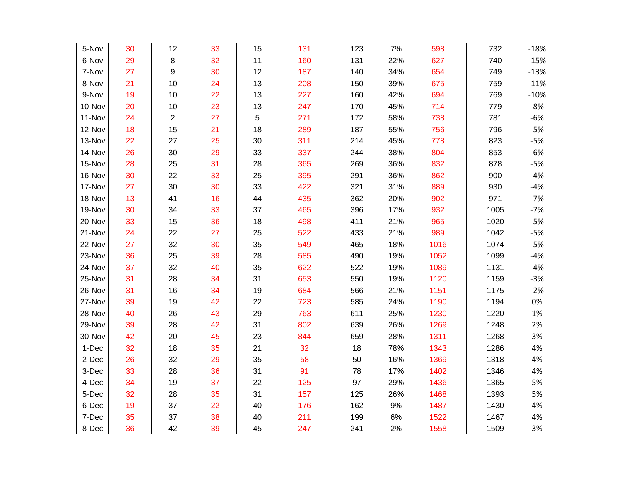| 5-Nov  | 30 | 12             | 33 | 15 | 131 | 123 | 7%  | 598  | 732  | $-18%$ |
|--------|----|----------------|----|----|-----|-----|-----|------|------|--------|
| 6-Nov  | 29 | 8              | 32 | 11 | 160 | 131 | 22% | 627  | 740  | $-15%$ |
| 7-Nov  | 27 | 9              | 30 | 12 | 187 | 140 | 34% | 654  | 749  | $-13%$ |
| 8-Nov  | 21 | 10             | 24 | 13 | 208 | 150 | 39% | 675  | 759  | $-11%$ |
| 9-Nov  | 19 | 10             | 22 | 13 | 227 | 160 | 42% | 694  | 769  | $-10%$ |
| 10-Nov | 20 | 10             | 23 | 13 | 247 | 170 | 45% | 714  | 779  | $-8%$  |
| 11-Nov | 24 | $\overline{2}$ | 27 | 5  | 271 | 172 | 58% | 738  | 781  | $-6%$  |
| 12-Nov | 18 | 15             | 21 | 18 | 289 | 187 | 55% | 756  | 796  | $-5%$  |
| 13-Nov | 22 | 27             | 25 | 30 | 311 | 214 | 45% | 778  | 823  | $-5%$  |
| 14-Nov | 26 | 30             | 29 | 33 | 337 | 244 | 38% | 804  | 853  | $-6%$  |
| 15-Nov | 28 | 25             | 31 | 28 | 365 | 269 | 36% | 832  | 878  | $-5%$  |
| 16-Nov | 30 | 22             | 33 | 25 | 395 | 291 | 36% | 862  | 900  | $-4%$  |
| 17-Nov | 27 | 30             | 30 | 33 | 422 | 321 | 31% | 889  | 930  | $-4%$  |
| 18-Nov | 13 | 41             | 16 | 44 | 435 | 362 | 20% | 902  | 971  | $-7%$  |
| 19-Nov | 30 | 34             | 33 | 37 | 465 | 396 | 17% | 932  | 1005 | $-7%$  |
| 20-Nov | 33 | 15             | 36 | 18 | 498 | 411 | 21% | 965  | 1020 | $-5%$  |
| 21-Nov | 24 | 22             | 27 | 25 | 522 | 433 | 21% | 989  | 1042 | $-5%$  |
| 22-Nov | 27 | 32             | 30 | 35 | 549 | 465 | 18% | 1016 | 1074 | $-5%$  |
| 23-Nov | 36 | 25             | 39 | 28 | 585 | 490 | 19% | 1052 | 1099 | $-4%$  |
| 24-Nov | 37 | 32             | 40 | 35 | 622 | 522 | 19% | 1089 | 1131 | $-4%$  |
| 25-Nov | 31 | 28             | 34 | 31 | 653 | 550 | 19% | 1120 | 1159 | $-3%$  |
| 26-Nov | 31 | 16             | 34 | 19 | 684 | 566 | 21% | 1151 | 1175 | $-2%$  |
| 27-Nov | 39 | 19             | 42 | 22 | 723 | 585 | 24% | 1190 | 1194 | 0%     |
| 28-Nov | 40 | 26             | 43 | 29 | 763 | 611 | 25% | 1230 | 1220 | 1%     |
| 29-Nov | 39 | 28             | 42 | 31 | 802 | 639 | 26% | 1269 | 1248 | 2%     |
| 30-Nov | 42 | 20             | 45 | 23 | 844 | 659 | 28% | 1311 | 1268 | 3%     |
| 1-Dec  | 32 | 18             | 35 | 21 | 32  | 18  | 78% | 1343 | 1286 | 4%     |
| 2-Dec  | 26 | 32             | 29 | 35 | 58  | 50  | 16% | 1369 | 1318 | 4%     |
| 3-Dec  | 33 | 28             | 36 | 31 | 91  | 78  | 17% | 1402 | 1346 | 4%     |
| 4-Dec  | 34 | 19             | 37 | 22 | 125 | 97  | 29% | 1436 | 1365 | 5%     |
| 5-Dec  | 32 | 28             | 35 | 31 | 157 | 125 | 26% | 1468 | 1393 | 5%     |
| 6-Dec  | 19 | 37             | 22 | 40 | 176 | 162 | 9%  | 1487 | 1430 | 4%     |
| 7-Dec  | 35 | 37             | 38 | 40 | 211 | 199 | 6%  | 1522 | 1467 | 4%     |
| 8-Dec  | 36 | 42             | 39 | 45 | 247 | 241 | 2%  | 1558 | 1509 | 3%     |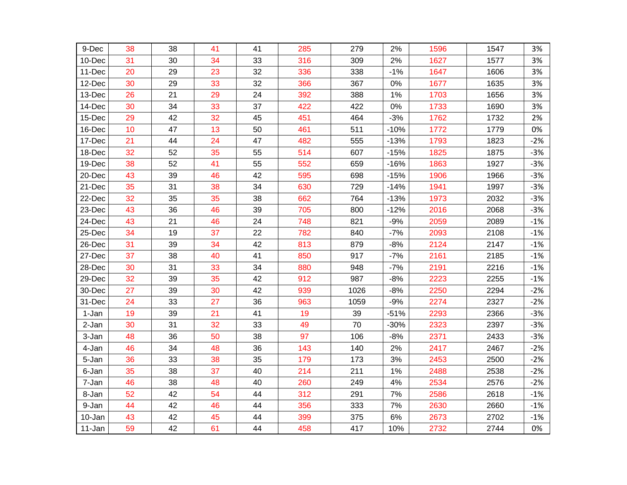| 9-Dec  | 38 | 38 | 41 | 41 | 285 | 279  | 2%     | 1596 | 1547 | 3%    |
|--------|----|----|----|----|-----|------|--------|------|------|-------|
| 10-Dec | 31 | 30 | 34 | 33 | 316 | 309  | 2%     | 1627 | 1577 | 3%    |
| 11-Dec | 20 | 29 | 23 | 32 | 336 | 338  | $-1%$  | 1647 | 1606 | 3%    |
| 12-Dec | 30 | 29 | 33 | 32 | 366 | 367  | 0%     | 1677 | 1635 | 3%    |
| 13-Dec | 26 | 21 | 29 | 24 | 392 | 388  | 1%     | 1703 | 1656 | 3%    |
| 14-Dec | 30 | 34 | 33 | 37 | 422 | 422  | 0%     | 1733 | 1690 | 3%    |
| 15-Dec | 29 | 42 | 32 | 45 | 451 | 464  | $-3%$  | 1762 | 1732 | 2%    |
| 16-Dec | 10 | 47 | 13 | 50 | 461 | 511  | $-10%$ | 1772 | 1779 | 0%    |
| 17-Dec | 21 | 44 | 24 | 47 | 482 | 555  | $-13%$ | 1793 | 1823 | $-2%$ |
| 18-Dec | 32 | 52 | 35 | 55 | 514 | 607  | $-15%$ | 1825 | 1875 | $-3%$ |
| 19-Dec | 38 | 52 | 41 | 55 | 552 | 659  | $-16%$ | 1863 | 1927 | $-3%$ |
| 20-Dec | 43 | 39 | 46 | 42 | 595 | 698  | $-15%$ | 1906 | 1966 | $-3%$ |
| 21-Dec | 35 | 31 | 38 | 34 | 630 | 729  | $-14%$ | 1941 | 1997 | $-3%$ |
| 22-Dec | 32 | 35 | 35 | 38 | 662 | 764  | $-13%$ | 1973 | 2032 | $-3%$ |
| 23-Dec | 43 | 36 | 46 | 39 | 705 | 800  | $-12%$ | 2016 | 2068 | $-3%$ |
| 24-Dec | 43 | 21 | 46 | 24 | 748 | 821  | $-9%$  | 2059 | 2089 | $-1%$ |
| 25-Dec | 34 | 19 | 37 | 22 | 782 | 840  | $-7%$  | 2093 | 2108 | $-1%$ |
| 26-Dec | 31 | 39 | 34 | 42 | 813 | 879  | $-8%$  | 2124 | 2147 | $-1%$ |
| 27-Dec | 37 | 38 | 40 | 41 | 850 | 917  | $-7%$  | 2161 | 2185 | $-1%$ |
| 28-Dec | 30 | 31 | 33 | 34 | 880 | 948  | $-7%$  | 2191 | 2216 | $-1%$ |
| 29-Dec | 32 | 39 | 35 | 42 | 912 | 987  | $-8%$  | 2223 | 2255 | $-1%$ |
| 30-Dec | 27 | 39 | 30 | 42 | 939 | 1026 | $-8%$  | 2250 | 2294 | $-2%$ |
| 31-Dec | 24 | 33 | 27 | 36 | 963 | 1059 | $-9%$  | 2274 | 2327 | $-2%$ |
| 1-Jan  | 19 | 39 | 21 | 41 | 19  | 39   | $-51%$ | 2293 | 2366 | $-3%$ |
| 2-Jan  | 30 | 31 | 32 | 33 | 49  | 70   | $-30%$ | 2323 | 2397 | $-3%$ |
| 3-Jan  | 48 | 36 | 50 | 38 | 97  | 106  | $-8%$  | 2371 | 2433 | $-3%$ |
| 4-Jan  | 46 | 34 | 48 | 36 | 143 | 140  | 2%     | 2417 | 2467 | $-2%$ |
| 5-Jan  | 36 | 33 | 38 | 35 | 179 | 173  | 3%     | 2453 | 2500 | $-2%$ |
| 6-Jan  | 35 | 38 | 37 | 40 | 214 | 211  | 1%     | 2488 | 2538 | $-2%$ |
| 7-Jan  | 46 | 38 | 48 | 40 | 260 | 249  | 4%     | 2534 | 2576 | $-2%$ |
| 8-Jan  | 52 | 42 | 54 | 44 | 312 | 291  | 7%     | 2586 | 2618 | $-1%$ |
| 9-Jan  | 44 | 42 | 46 | 44 | 356 | 333  | 7%     | 2630 | 2660 | $-1%$ |
| 10-Jan | 43 | 42 | 45 | 44 | 399 | 375  | 6%     | 2673 | 2702 | $-1%$ |
| 11-Jan | 59 | 42 | 61 | 44 | 458 | 417  | 10%    | 2732 | 2744 | 0%    |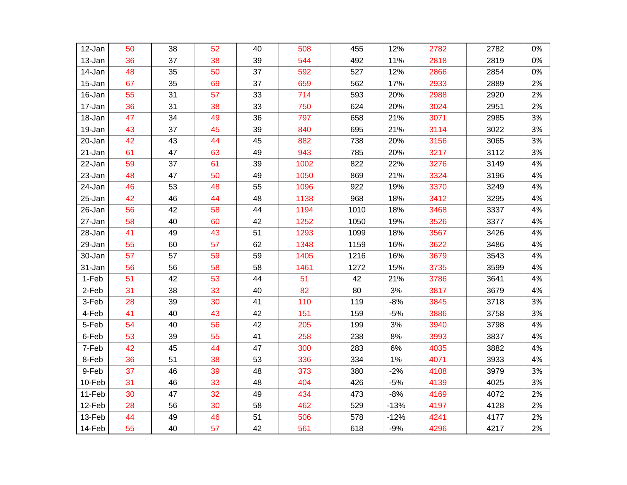| 12-Jan | 50 | 38 | 52 | 40 | 508  | 455  | 12%    | 2782 | 2782 | 0% |
|--------|----|----|----|----|------|------|--------|------|------|----|
| 13-Jan | 36 | 37 | 38 | 39 | 544  | 492  | 11%    | 2818 | 2819 | 0% |
| 14-Jan | 48 | 35 | 50 | 37 | 592  | 527  | 12%    | 2866 | 2854 | 0% |
| 15-Jan | 67 | 35 | 69 | 37 | 659  | 562  | 17%    | 2933 | 2889 | 2% |
| 16-Jan | 55 | 31 | 57 | 33 | 714  | 593  | 20%    | 2988 | 2920 | 2% |
| 17-Jan | 36 | 31 | 38 | 33 | 750  | 624  | 20%    | 3024 | 2951 | 2% |
| 18-Jan | 47 | 34 | 49 | 36 | 797  | 658  | 21%    | 3071 | 2985 | 3% |
| 19-Jan | 43 | 37 | 45 | 39 | 840  | 695  | 21%    | 3114 | 3022 | 3% |
| 20-Jan | 42 | 43 | 44 | 45 | 882  | 738  | 20%    | 3156 | 3065 | 3% |
| 21-Jan | 61 | 47 | 63 | 49 | 943  | 785  | 20%    | 3217 | 3112 | 3% |
| 22-Jan | 59 | 37 | 61 | 39 | 1002 | 822  | 22%    | 3276 | 3149 | 4% |
| 23-Jan | 48 | 47 | 50 | 49 | 1050 | 869  | 21%    | 3324 | 3196 | 4% |
| 24-Jan | 46 | 53 | 48 | 55 | 1096 | 922  | 19%    | 3370 | 3249 | 4% |
| 25-Jan | 42 | 46 | 44 | 48 | 1138 | 968  | 18%    | 3412 | 3295 | 4% |
| 26-Jan | 56 | 42 | 58 | 44 | 1194 | 1010 | 18%    | 3468 | 3337 | 4% |
| 27-Jan | 58 | 40 | 60 | 42 | 1252 | 1050 | 19%    | 3526 | 3377 | 4% |
| 28-Jan | 41 | 49 | 43 | 51 | 1293 | 1099 | 18%    | 3567 | 3426 | 4% |
| 29-Jan | 55 | 60 | 57 | 62 | 1348 | 1159 | 16%    | 3622 | 3486 | 4% |
| 30-Jan | 57 | 57 | 59 | 59 | 1405 | 1216 | 16%    | 3679 | 3543 | 4% |
| 31-Jan | 56 | 56 | 58 | 58 | 1461 | 1272 | 15%    | 3735 | 3599 | 4% |
| 1-Feb  | 51 | 42 | 53 | 44 | 51   | 42   | 21%    | 3786 | 3641 | 4% |
| 2-Feb  | 31 | 38 | 33 | 40 | 82   | 80   | 3%     | 3817 | 3679 | 4% |
| 3-Feb  | 28 | 39 | 30 | 41 | 110  | 119  | $-8%$  | 3845 | 3718 | 3% |
| 4-Feb  | 41 | 40 | 43 | 42 | 151  | 159  | $-5%$  | 3886 | 3758 | 3% |
| 5-Feb  | 54 | 40 | 56 | 42 | 205  | 199  | 3%     | 3940 | 3798 | 4% |
| 6-Feb  | 53 | 39 | 55 | 41 | 258  | 238  | 8%     | 3993 | 3837 | 4% |
| 7-Feb  | 42 | 45 | 44 | 47 | 300  | 283  | 6%     | 4035 | 3882 | 4% |
| 8-Feb  | 36 | 51 | 38 | 53 | 336  | 334  | 1%     | 4071 | 3933 | 4% |
| 9-Feb  | 37 | 46 | 39 | 48 | 373  | 380  | $-2%$  | 4108 | 3979 | 3% |
| 10-Feb | 31 | 46 | 33 | 48 | 404  | 426  | $-5%$  | 4139 | 4025 | 3% |
| 11-Feb | 30 | 47 | 32 | 49 | 434  | 473  | $-8%$  | 4169 | 4072 | 2% |
| 12-Feb | 28 | 56 | 30 | 58 | 462  | 529  | $-13%$ | 4197 | 4128 | 2% |
| 13-Feb | 44 | 49 | 46 | 51 | 506  | 578  | $-12%$ | 4241 | 4177 | 2% |
| 14-Feb | 55 | 40 | 57 | 42 | 561  | 618  | $-9%$  | 4296 | 4217 | 2% |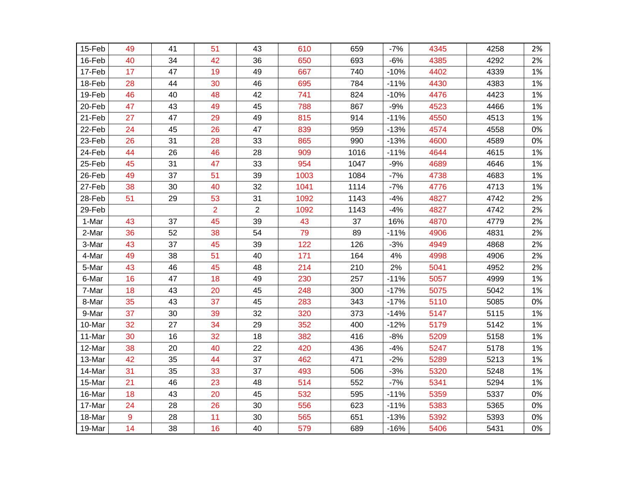| 15-Feb | 49 | 41 | 51             | 43             | 610  | 659  | $-7%$  | 4345 | 4258 | 2% |
|--------|----|----|----------------|----------------|------|------|--------|------|------|----|
| 16-Feb | 40 | 34 | 42             | 36             | 650  | 693  | $-6%$  | 4385 | 4292 | 2% |
| 17-Feb | 17 | 47 | 19             | 49             | 667  | 740  | $-10%$ | 4402 | 4339 | 1% |
| 18-Feb | 28 | 44 | 30             | 46             | 695  | 784  | $-11%$ | 4430 | 4383 | 1% |
| 19-Feb | 46 | 40 | 48             | 42             | 741  | 824  | $-10%$ | 4476 | 4423 | 1% |
| 20-Feb | 47 | 43 | 49             | 45             | 788  | 867  | $-9%$  | 4523 | 4466 | 1% |
| 21-Feb | 27 | 47 | 29             | 49             | 815  | 914  | $-11%$ | 4550 | 4513 | 1% |
| 22-Feb | 24 | 45 | 26             | 47             | 839  | 959  | $-13%$ | 4574 | 4558 | 0% |
| 23-Feb | 26 | 31 | 28             | 33             | 865  | 990  | $-13%$ | 4600 | 4589 | 0% |
| 24-Feb | 44 | 26 | 46             | 28             | 909  | 1016 | $-11%$ | 4644 | 4615 | 1% |
| 25-Feb | 45 | 31 | 47             | 33             | 954  | 1047 | $-9%$  | 4689 | 4646 | 1% |
| 26-Feb | 49 | 37 | 51             | 39             | 1003 | 1084 | $-7%$  | 4738 | 4683 | 1% |
| 27-Feb | 38 | 30 | 40             | 32             | 1041 | 1114 | $-7%$  | 4776 | 4713 | 1% |
| 28-Feb | 51 | 29 | 53             | 31             | 1092 | 1143 | $-4%$  | 4827 | 4742 | 2% |
| 29-Feb |    |    | $\overline{2}$ | $\overline{2}$ | 1092 | 1143 | $-4%$  | 4827 | 4742 | 2% |
| 1-Mar  | 43 | 37 | 45             | 39             | 43   | 37   | 16%    | 4870 | 4779 | 2% |
| 2-Mar  | 36 | 52 | 38             | 54             | 79   | 89   | $-11%$ | 4906 | 4831 | 2% |
| 3-Mar  | 43 | 37 | 45             | 39             | 122  | 126  | $-3%$  | 4949 | 4868 | 2% |
| 4-Mar  | 49 | 38 | 51             | 40             | 171  | 164  | 4%     | 4998 | 4906 | 2% |
| 5-Mar  | 43 | 46 | 45             | 48             | 214  | 210  | 2%     | 5041 | 4952 | 2% |
| 6-Mar  | 16 | 47 | 18             | 49             | 230  | 257  | $-11%$ | 5057 | 4999 | 1% |
| 7-Mar  | 18 | 43 | 20             | 45             | 248  | 300  | $-17%$ | 5075 | 5042 | 1% |
| 8-Mar  | 35 | 43 | 37             | 45             | 283  | 343  | $-17%$ | 5110 | 5085 | 0% |
| 9-Mar  | 37 | 30 | 39             | 32             | 320  | 373  | $-14%$ | 5147 | 5115 | 1% |
| 10-Mar | 32 | 27 | 34             | 29             | 352  | 400  | $-12%$ | 5179 | 5142 | 1% |
| 11-Mar | 30 | 16 | 32             | 18             | 382  | 416  | $-8%$  | 5209 | 5158 | 1% |
| 12-Mar | 38 | 20 | 40             | 22             | 420  | 436  | $-4%$  | 5247 | 5178 | 1% |
| 13-Mar | 42 | 35 | 44             | 37             | 462  | 471  | $-2%$  | 5289 | 5213 | 1% |
| 14-Mar | 31 | 35 | 33             | 37             | 493  | 506  | $-3%$  | 5320 | 5248 | 1% |
| 15-Mar | 21 | 46 | 23             | 48             | 514  | 552  | $-7%$  | 5341 | 5294 | 1% |
| 16-Mar | 18 | 43 | 20             | 45             | 532  | 595  | $-11%$ | 5359 | 5337 | 0% |
| 17-Mar | 24 | 28 | 26             | 30             | 556  | 623  | $-11%$ | 5383 | 5365 | 0% |
| 18-Mar | 9  | 28 | 11             | 30             | 565  | 651  | $-13%$ | 5392 | 5393 | 0% |
| 19-Mar | 14 | 38 | 16             | 40             | 579  | 689  | $-16%$ | 5406 | 5431 | 0% |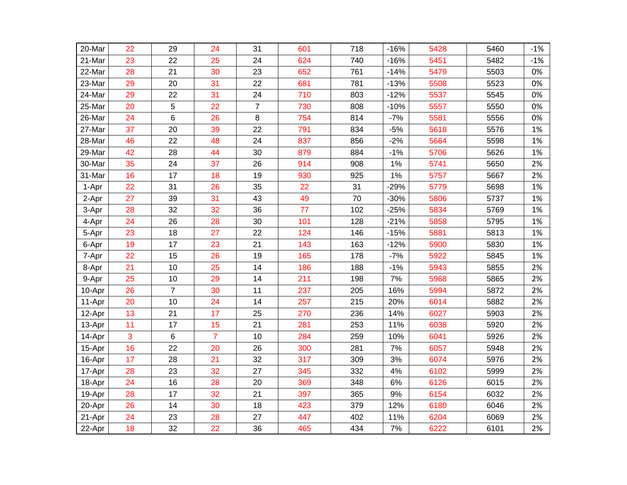| 20-Mar | 22 | 29             | 24             | 31             | 601 | 718 | $-16%$ | 5428 | 5460 | $-1%$ |
|--------|----|----------------|----------------|----------------|-----|-----|--------|------|------|-------|
| 21-Mar | 23 | 22             | 25             | 24             | 624 | 740 | $-16%$ | 5451 | 5482 | $-1%$ |
| 22-Mar | 28 | 21             | 30             | 23             | 652 | 761 | $-14%$ | 5479 | 5503 | 0%    |
| 23-Mar | 29 | 20             | 31             | 22             | 681 | 781 | $-13%$ | 5508 | 5523 | 0%    |
| 24-Mar | 29 | 22             | 31             | 24             | 710 | 803 | $-12%$ | 5537 | 5545 | 0%    |
| 25-Mar | 20 | 5              | 22             | $\overline{7}$ | 730 | 808 | $-10%$ | 5557 | 5550 | 0%    |
| 26-Mar | 24 | 6              | 26             | 8              | 754 | 814 | $-7%$  | 5581 | 5556 | 0%    |
| 27-Mar | 37 | 20             | 39             | 22             | 791 | 834 | $-5%$  | 5618 | 5576 | 1%    |
| 28-Mar | 46 | 22             | 48             | 24             | 837 | 856 | $-2%$  | 5664 | 5598 | 1%    |
| 29-Mar | 42 | 28             | 44             | 30             | 879 | 884 | $-1%$  | 5706 | 5626 | 1%    |
| 30-Mar | 35 | 24             | 37             | 26             | 914 | 908 | 1%     | 5741 | 5650 | 2%    |
| 31-Mar | 16 | 17             | 18             | 19             | 930 | 925 | 1%     | 5757 | 5667 | 2%    |
| 1-Apr  | 22 | 31             | 26             | 35             | 22  | 31  | $-29%$ | 5779 | 5698 | 1%    |
| 2-Apr  | 27 | 39             | 31             | 43             | 49  | 70  | $-30%$ | 5806 | 5737 | 1%    |
| 3-Apr  | 28 | 32             | 32             | 36             | 77  | 102 | $-25%$ | 5834 | 5769 | 1%    |
| 4-Apr  | 24 | 26             | 28             | 30             | 101 | 128 | $-21%$ | 5858 | 5795 | 1%    |
| 5-Apr  | 23 | 18             | 27             | 22             | 124 | 146 | $-15%$ | 5881 | 5813 | 1%    |
| 6-Apr  | 19 | 17             | 23             | 21             | 143 | 163 | $-12%$ | 5900 | 5830 | 1%    |
| 7-Apr  | 22 | 15             | 26             | 19             | 165 | 178 | $-7%$  | 5922 | 5845 | 1%    |
| 8-Apr  | 21 | 10             | 25             | 14             | 186 | 188 | $-1%$  | 5943 | 5855 | 2%    |
| 9-Apr  | 25 | 10             | 29             | 14             | 211 | 198 | 7%     | 5968 | 5865 | 2%    |
| 10-Apr | 26 | $\overline{7}$ | 30             | 11             | 237 | 205 | 16%    | 5994 | 5872 | 2%    |
| 11-Apr | 20 | 10             | 24             | 14             | 257 | 215 | 20%    | 6014 | 5882 | 2%    |
| 12-Apr | 13 | 21             | 17             | 25             | 270 | 236 | 14%    | 6027 | 5903 | 2%    |
| 13-Apr | 11 | 17             | 15             | 21             | 281 | 253 | 11%    | 6038 | 5920 | 2%    |
| 14-Apr | 3  | $\,6\,$        | $\overline{7}$ | 10             | 284 | 259 | 10%    | 6041 | 5926 | 2%    |
| 15-Apr | 16 | 22             | 20             | 26             | 300 | 281 | 7%     | 6057 | 5948 | 2%    |
| 16-Apr | 17 | 28             | 21             | 32             | 317 | 309 | 3%     | 6074 | 5976 | 2%    |
| 17-Apr | 28 | 23             | 32             | 27             | 345 | 332 | 4%     | 6102 | 5999 | 2%    |
| 18-Apr | 24 | 16             | 28             | 20             | 369 | 348 | 6%     | 6126 | 6015 | 2%    |
| 19-Apr | 28 | 17             | 32             | 21             | 397 | 365 | 9%     | 6154 | 6032 | 2%    |
| 20-Apr | 26 | 14             | 30             | 18             | 423 | 379 | 12%    | 6180 | 6046 | 2%    |
| 21-Apr | 24 | 23             | 28             | 27             | 447 | 402 | 11%    | 6204 | 6069 | 2%    |
| 22-Apr | 18 | 32             | 22             | 36             | 465 | 434 | 7%     | 6222 | 6101 | 2%    |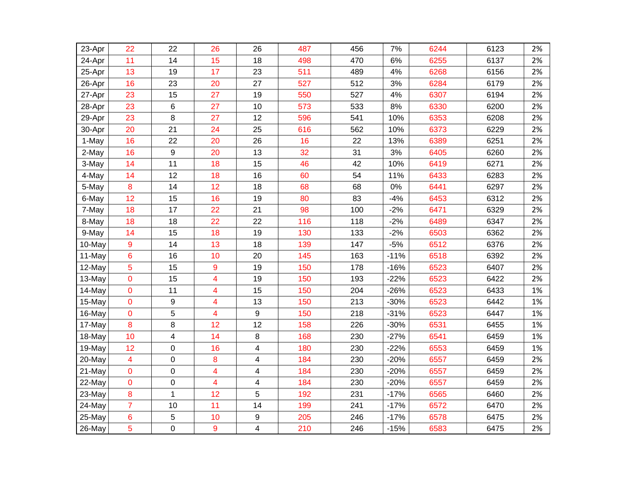| 23-Apr | 22               | 22               | 26                      | 26                      | 487 | 456 | 7%     | 6244 | 6123 | 2% |
|--------|------------------|------------------|-------------------------|-------------------------|-----|-----|--------|------|------|----|
| 24-Apr | 11               | 14               | 15                      | 18                      | 498 | 470 | 6%     | 6255 | 6137 | 2% |
| 25-Apr | 13               | 19               | 17                      | 23                      | 511 | 489 | 4%     | 6268 | 6156 | 2% |
| 26-Apr | 16               | 23               | 20                      | 27                      | 527 | 512 | 3%     | 6284 | 6179 | 2% |
| 27-Apr | 23               | 15               | 27                      | 19                      | 550 | 527 | 4%     | 6307 | 6194 | 2% |
| 28-Apr | 23               | 6                | 27                      | 10                      | 573 | 533 | 8%     | 6330 | 6200 | 2% |
| 29-Apr | 23               | 8                | 27                      | 12                      | 596 | 541 | 10%    | 6353 | 6208 | 2% |
| 30-Apr | 20               | 21               | 24                      | 25                      | 616 | 562 | 10%    | 6373 | 6229 | 2% |
| 1-May  | 16               | 22               | 20                      | 26                      | 16  | 22  | 13%    | 6389 | 6251 | 2% |
| 2-May  | 16               | $\boldsymbol{9}$ | 20                      | 13                      | 32  | 31  | 3%     | 6405 | 6260 | 2% |
| 3-May  | 14               | 11               | 18                      | 15                      | 46  | 42  | 10%    | 6419 | 6271 | 2% |
| 4-May  | 14               | 12               | 18                      | 16                      | 60  | 54  | 11%    | 6433 | 6283 | 2% |
| 5-May  | $\boldsymbol{8}$ | 14               | 12                      | 18                      | 68  | 68  | 0%     | 6441 | 6297 | 2% |
| 6-May  | 12               | 15               | 16                      | 19                      | 80  | 83  | $-4%$  | 6453 | 6312 | 2% |
| 7-May  | 18               | 17               | 22                      | 21                      | 98  | 100 | $-2%$  | 6471 | 6329 | 2% |
| 8-May  | 18               | 18               | 22                      | 22                      | 116 | 118 | $-2%$  | 6489 | 6347 | 2% |
| 9-May  | 14               | 15               | 18                      | 19                      | 130 | 133 | $-2%$  | 6503 | 6362 | 2% |
| 10-May | 9                | 14               | 13                      | 18                      | 139 | 147 | $-5%$  | 6512 | 6376 | 2% |
| 11-May | 6                | 16               | 10                      | 20                      | 145 | 163 | $-11%$ | 6518 | 6392 | 2% |
| 12-May | 5                | 15               | 9                       | 19                      | 150 | 178 | $-16%$ | 6523 | 6407 | 2% |
| 13-May | $\mathbf 0$      | 15               | $\overline{\mathbf{4}}$ | 19                      | 150 | 193 | $-22%$ | 6523 | 6422 | 2% |
| 14-May | $\overline{0}$   | 11               | 4                       | 15                      | 150 | 204 | $-26%$ | 6523 | 6433 | 1% |
| 15-May | $\mathbf 0$      | 9                | 4                       | 13                      | 150 | 213 | $-30%$ | 6523 | 6442 | 1% |
| 16-May | 0                | 5                | 4                       | $\boldsymbol{9}$        | 150 | 218 | $-31%$ | 6523 | 6447 | 1% |
| 17-May | 8                | 8                | 12                      | 12                      | 158 | 226 | $-30%$ | 6531 | 6455 | 1% |
| 18-May | 10               | 4                | 14                      | 8                       | 168 | 230 | $-27%$ | 6541 | 6459 | 1% |
| 19-May | 12               | 0                | 16                      | 4                       | 180 | 230 | $-22%$ | 6553 | 6459 | 1% |
| 20-May | $\overline{4}$   | 0                | 8                       | 4                       | 184 | 230 | $-20%$ | 6557 | 6459 | 2% |
| 21-May | 0                | $\mathbf 0$      | $\overline{\mathbf{4}}$ | 4                       | 184 | 230 | $-20%$ | 6557 | 6459 | 2% |
| 22-May | 0                | 0                | 4                       | 4                       | 184 | 230 | $-20%$ | 6557 | 6459 | 2% |
| 23-May | 8                | $\mathbf{1}$     | 12                      | 5                       | 192 | 231 | $-17%$ | 6565 | 6460 | 2% |
| 24-May | $\overline{7}$   | 10               | 11                      | 14                      | 199 | 241 | $-17%$ | 6572 | 6470 | 2% |
| 25-May | 6                | 5                | 10                      | 9                       | 205 | 246 | $-17%$ | 6578 | 6475 | 2% |
| 26-May | 5                | $\mathbf 0$      | 9                       | $\overline{\mathbf{4}}$ | 210 | 246 | $-15%$ | 6583 | 6475 | 2% |